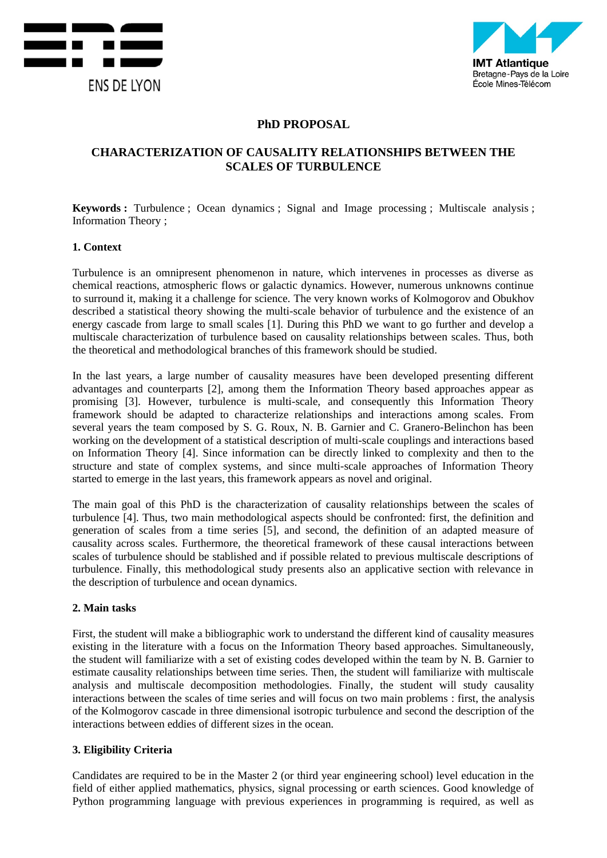



## **PhD PROPOSAL**

# **CHARACTERIZATION OF CAUSALITY RELATIONSHIPS BETWEEN THE SCALES OF TURBULENCE**

**Keywords :** Turbulence ; Ocean dynamics ; Signal and Image processing ; Multiscale analysis ; Information Theory ;

#### **1. Context**

Turbulence is an omnipresent phenomenon in nature, which intervenes in processes as diverse as chemical reactions, atmospheric flows or galactic dynamics. However, numerous unknowns continue to surround it, making it a challenge for science. The very known works of Kolmogorov and Obukhov described a statistical theory showing the multi-scale behavior of turbulence and the existence of an energy cascade from large to small scales [1]. During this PhD we want to go further and develop a multiscale characterization of turbulence based on causality relationships between scales. Thus, both the theoretical and methodological branches of this framework should be studied.

In the last years, a large number of causality measures have been developed presenting different advantages and counterparts [2], among them the Information Theory based approaches appear as promising [3]. However, turbulence is multi-scale, and consequently this Information Theory framework should be adapted to characterize relationships and interactions among scales. From several years the team composed by S. G. Roux, N. B. Garnier and C. Granero-Belinchon has been working on the development of a statistical description of multi-scale couplings and interactions based on Information Theory [4]. Since information can be directly linked to complexity and then to the structure and state of complex systems, and since multi-scale approaches of Information Theory started to emerge in the last years, this framework appears as novel and original.

The main goal of this PhD is the characterization of causality relationships between the scales of turbulence [4]. Thus, two main methodological aspects should be confronted: first, the definition and generation of scales from a time series [5], and second, the definition of an adapted measure of causality across scales. Furthermore, the theoretical framework of these causal interactions between scales of turbulence should be stablished and if possible related to previous multiscale descriptions of turbulence. Finally, this methodological study presents also an applicative section with relevance in the description of turbulence and ocean dynamics.

#### **2. Main tasks**

First, the student will make a bibliographic work to understand the different kind of causality measures existing in the literature with a focus on the Information Theory based approaches. Simultaneously, the student will familiarize with a set of existing codes developed within the team by N. B. Garnier to estimate causality relationships between time series. Then, the student will familiarize with multiscale analysis and multiscale decomposition methodologies. Finally, the student will study causality interactions between the scales of time series and will focus on two main problems : first, the analysis of the Kolmogorov cascade in three dimensional isotropic turbulence and second the description of the interactions between eddies of different sizes in the ocean.

#### **3. Eligibility Criteria**

Candidates are required to be in the Master 2 (or third year engineering school) level education in the field of either applied mathematics, physics, signal processing or earth sciences. Good knowledge of Python programming language with previous experiences in programming is required, as well as